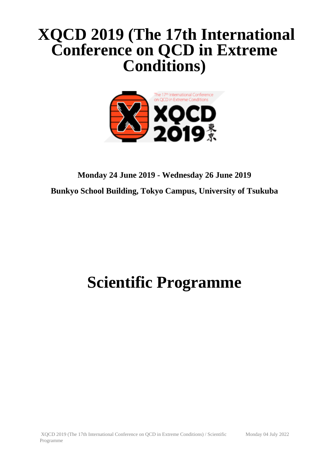## **XQCD 2019 (The 17th International Conference on QCD in Extreme Conditions)**



## **Monday 24 June 2019 - Wednesday 26 June 2019 Bunkyo School Building, Tokyo Campus, University of Tsukuba**

## **Scientific Programme**